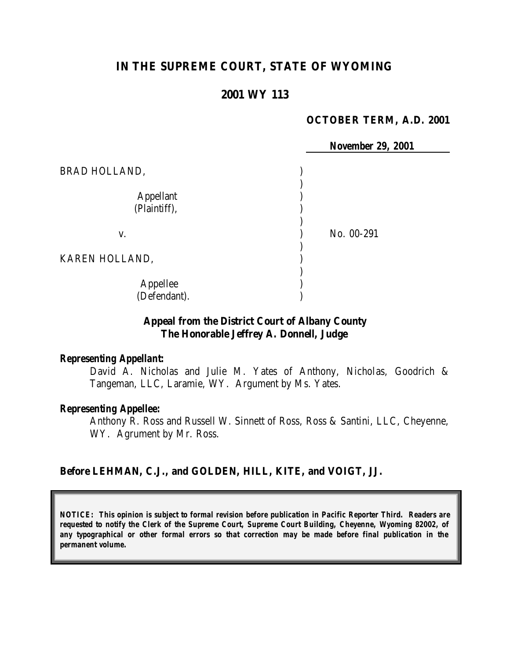# **IN THE SUPREME COURT, STATE OF WYOMING**

### **2001 WY 113**

#### **OCTOBER TERM, A.D. 2001**

*November 29, 2001*

BRAD HOLLAND,  $\qquad \qquad$ ) Appellant ) (Plaintiff), ) ) v. ) No. 00-291 ) KAREN HOLLAND, ) Appellee ) (Defendant). )

### **Appeal from the District Court of Albany County The Honorable Jeffrey A. Donnell, Judge**

#### *Representing Appellant:*

David A. Nicholas and Julie M. Yates of Anthony, Nicholas, Goodrich & Tangeman, LLC, Laramie, WY. Argument by Ms. Yates.

#### *Representing Appellee:*

Anthony R. Ross and Russell W. Sinnett of Ross, Ross & Santini, LLC, Cheyenne, WY. Agrument by Mr. Ross.

#### **Before LEHMAN, C.J., and GOLDEN, HILL, KITE, and VOIGT, JJ.**

*NOTICE: This opinion is subject to formal revision before publication in Pacific Reporter Third. Readers are requested to notify the Clerk of the Supreme Court, Supreme Court Building, Cheyenne, Wyoming 82002, of any typographical or other formal errors so that correction may be made before final publication in the permanent volume.*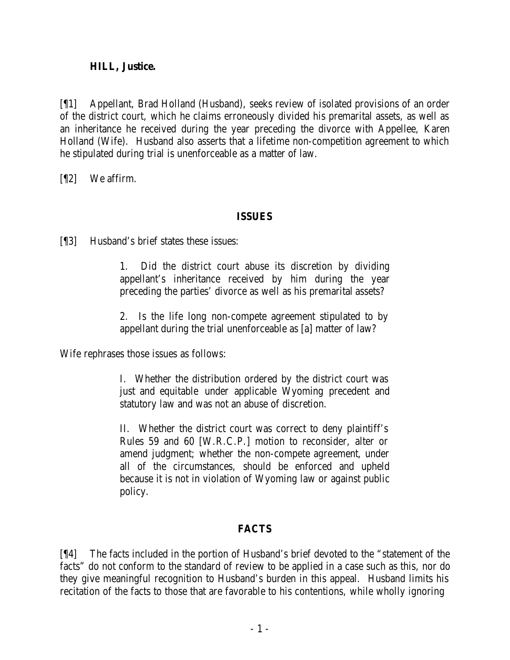### **HILL, Justice.**

[¶1] Appellant, Brad Holland (Husband), seeks review of isolated provisions of an order of the district court, which he claims erroneously divided his premarital assets, as well as an inheritance he received during the year preceding the divorce with Appellee, Karen Holland (Wife). Husband also asserts that a lifetime non-competition agreement to which he stipulated during trial is unenforceable as a matter of law.

[¶2] We affirm.

# **ISSUES**

[¶3] Husband's brief states these issues:

1. Did the district court abuse its discretion by dividing appellant's inheritance received by him during the year preceding the parties' divorce as well as his premarital assets?

2. Is the life long non-compete agreement stipulated to by appellant during the trial unenforceable as [a] matter of law?

Wife rephrases those issues as follows:

I. Whether the distribution ordered by the district court was just and equitable under applicable Wyoming precedent and statutory law and was not an abuse of discretion.

II. Whether the district court was correct to deny plaintiff's Rules 59 and 60 [W.R.C.P.] motion to reconsider, alter or amend judgment; whether the non-compete agreement, under all of the circumstances, should be enforced and upheld because it is not in violation of Wyoming law or against public policy.

# **FACTS**

[¶4] The facts included in the portion of Husband's brief devoted to the "statement of the facts" do not conform to the standard of review to be applied in a case such as this, nor do they give meaningful recognition to Husband's burden in this appeal. Husband limits his recitation of the facts to those that are favorable to his contentions, while wholly ignoring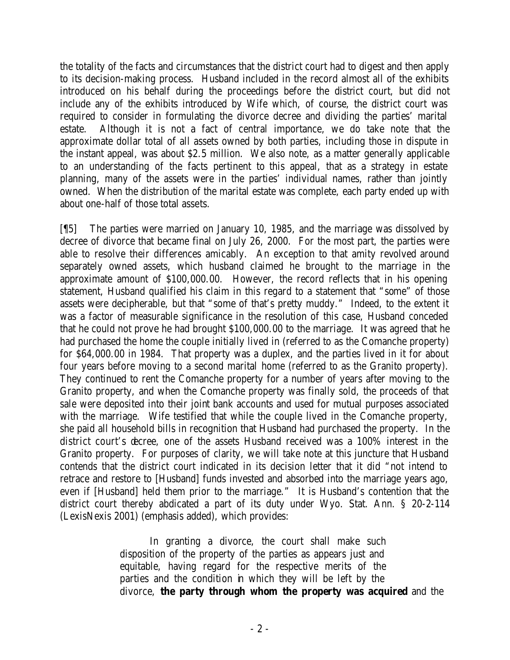the totality of the facts and circumstances that the district court had to digest and then apply to its decision-making process. Husband included in the record almost all of the exhibits introduced on his behalf during the proceedings before the district court, but did not include any of the exhibits introduced by Wife which, of course, the district court was required to consider in formulating the divorce decree and dividing the parties' marital estate. Although it is not a fact of central importance, we do take note that the approximate dollar total of all assets owned by both parties, including those in dispute in the instant appeal, was about \$2.5 million. We also note, as a matter generally applicable to an understanding of the facts pertinent to this appeal, that as a strategy in estate planning, many of the assets were in the parties' individual names, rather than jointly owned. When the distribution of the marital estate was complete, each party ended up with about one-half of those total assets.

[¶5] The parties were married on January 10, 1985, and the marriage was dissolved by decree of divorce that became final on July 26, 2000. For the most part, the parties were able to resolve their differences amicably. An exception to that amity revolved around separately owned assets, which husband claimed he brought to the marriage in the approximate amount of \$100,000.00. However, the record reflects that in his opening statement, Husband qualified his claim in this regard to a statement that "some" of those assets were decipherable, but that "some of that's pretty muddy." Indeed, to the extent it was a factor of measurable significance in the resolution of this case, Husband conceded that he could not prove he had brought \$100,000.00 to the marriage. It was agreed that he had purchased the home the couple initially lived in (referred to as the Comanche property) for \$64,000.00 in 1984. That property was a duplex, and the parties lived in it for about four years before moving to a second marital home (referred to as the Granito property). They continued to rent the Comanche property for a number of years after moving to the Granito property, and when the Comanche property was finally sold, the proceeds of that sale were deposited into their joint bank accounts and used for mutual purposes associated with the marriage. Wife testified that while the couple lived in the Comanche property, she paid all household bills in recognition that Husband had purchased the property. In the district court's decree, one of the assets Husband received was a 100% interest in the Granito property. For purposes of clarity, we will take note at this juncture that Husband contends that the district court indicated in its decision letter that it did "not intend to retrace and restore to [Husband] funds invested and absorbed into the marriage years ago, even if [Husband] held them prior to the marriage." It is Husband's contention that the district court thereby abdicated a part of its duty under Wyo. Stat. Ann. § 20-2-114 (LexisNexis 2001) (emphasis added), which provides:

> In granting a divorce, the court shall make such disposition of the property of the parties as appears just and equitable, having regard for the respective merits of the parties and the condition in which they will be left by the divorce, **the party through whom the property was acquired** and the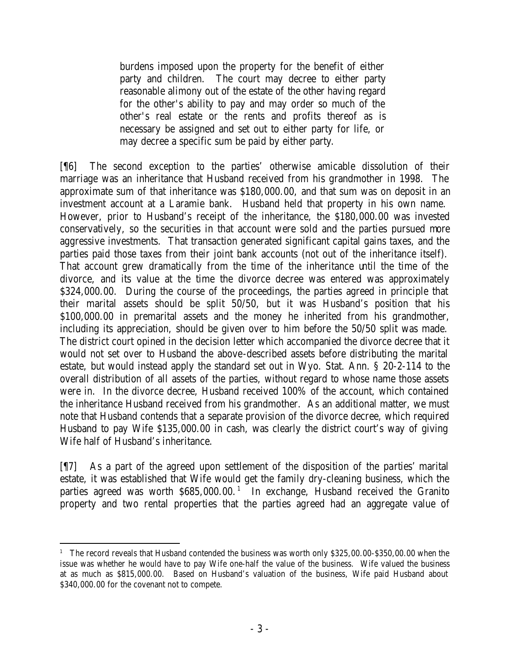burdens imposed upon the property for the benefit of either party and children. The court may decree to either party reasonable alimony out of the estate of the other having regard for the other's ability to pay and may order so much of the other's real estate or the rents and profits thereof as is necessary be assigned and set out to either party for life, or may decree a specific sum be paid by either party.

[¶6] The second exception to the parties' otherwise amicable dissolution of their marriage was an inheritance that Husband received from his grandmother in 1998. The approximate sum of that inheritance was \$180,000.00, and that sum was on deposit in an investment account at a Laramie bank. Husband held that property in his own name. However, prior to Husband's receipt of the inheritance, the \$180,000.00 was invested conservatively, so the securities in that account were sold and the parties pursued more aggressive investments. That transaction generated significant capital gains taxes, and the parties paid those taxes from their joint bank accounts (not out of the inheritance itself). That account grew dramatically from the time of the inheritance until the time of the divorce, and its value at the time the divorce decree was entered was approximately \$324,000.00. During the course of the proceedings, the parties agreed in principle that their marital assets should be split 50/50, but it was Husband's position that his \$100,000.00 in premarital assets and the money he inherited from his grandmother, including its appreciation, should be given over to him before the 50/50 split was made. The district court opined in the decision letter which accompanied the divorce decree that it would not set over to Husband the above-described assets before distributing the marital estate, but would instead apply the standard set out in Wyo. Stat. Ann. § 20-2-114 to the overall distribution of all assets of the parties, without regard to whose name those assets were in. In the divorce decree, Husband received 100% of the account, which contained the inheritance Husband received from his grandmother. As an additional matter, we must note that Husband contends that a separate provision of the divorce decree, which required Husband to pay Wife \$135,000.00 in cash, was clearly the district court's way of giving Wife half of Husband's inheritance.

[¶7] As a part of the agreed upon settlement of the disposition of the parties' marital estate, it was established that Wife would get the family dry-cleaning business, which the parties agreed was worth \$685,000.00.<sup>1</sup> In exchange, Husband received the Granito property and two rental properties that the parties agreed had an aggregate value of

<sup>&</sup>lt;sup>1</sup> The record reveals that Husband contended the business was worth only \$325,00.00-\$350,00.00 when the issue was whether he would have to pay Wife one-half the value of the business. Wife valued the business at as much as \$815,000.00. Based on Husband's valuation of the business, Wife paid Husband about \$340,000.00 for the covenant not to compete.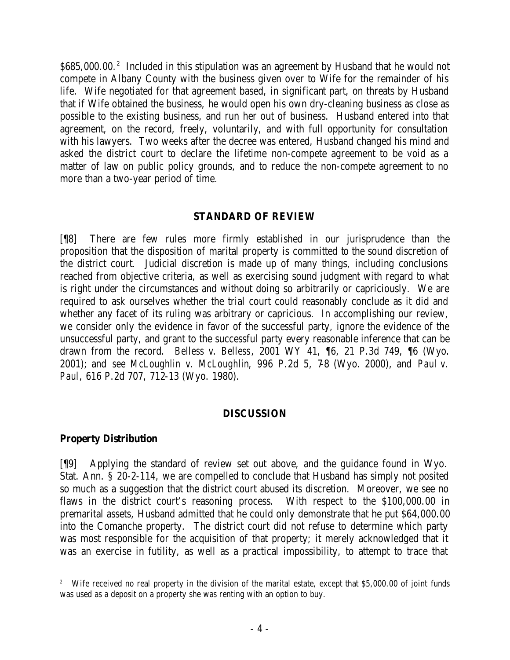\$685,000.00.<sup>2</sup> Included in this stipulation was an agreement by Husband that he would not compete in Albany County with the business given over to Wife for the remainder of his life. Wife negotiated for that agreement based, in significant part, on threats by Husband that if Wife obtained the business, he would open his own dry-cleaning business as close as possible to the existing business, and run her out of business. Husband entered into that agreement, on the record, freely, voluntarily, and with full opportunity for consultation with his lawyers. Two weeks after the decree was entered, Husband changed his mind and asked the district court to declare the lifetime non-compete agreement to be void as a matter of law on public policy grounds, and to reduce the non-compete agreement to no more than a two-year period of time.

# **STANDARD OF REVIEW**

[¶8] There are few rules more firmly established in our jurisprudence than the proposition that the disposition of marital property is committed to the sound discretion of the district court. Judicial discretion is made up of many things, including conclusions reached from objective criteria, as well as exercising sound judgment with regard to what is right under the circumstances and without doing so arbitrarily or capriciously. We are required to ask ourselves whether the trial court could reasonably conclude as it did and whether any facet of its ruling was arbitrary or capricious. In accomplishing our review, we consider only the evidence in favor of the successful party, ignore the evidence of the unsuccessful party, and grant to the successful party every reasonable inference that can be drawn from the record. *Belless v. Belless*, 2001 WY 41, ¶6, 21 P.3d 749, ¶6 (Wyo. 2001); and *see McLoughlin v. McLoughlin*, 996 P.2d 5, 7-8 (Wyo. 2000), and *Paul v. Paul*, 616 P.2d 707, 712-13 (Wyo. 1980).

### **DISCUSSION**

### **Property Distribution**

[¶9] Applying the standard of review set out above, and the guidance found in Wyo. Stat. Ann. § 20-2-114, we are compelled to conclude that Husband has simply not posited so much as a suggestion that the district court abused its discretion. Moreover, we see no flaws in the district court's reasoning process. With respect to the \$100,000.00 in premarital assets, Husband admitted that he could only demonstrate that he put \$64,000.00 into the Comanche property. The district court did not refuse to determine which party was most responsible for the acquisition of that property; it merely acknowledged that it was an exercise in futility, as well as a practical impossibility, to attempt to trace that

<sup>&</sup>lt;sup>2</sup> Wife received no real property in the division of the marital estate, except that \$5,000.00 of joint funds was used as a deposit on a property she was renting with an option to buy.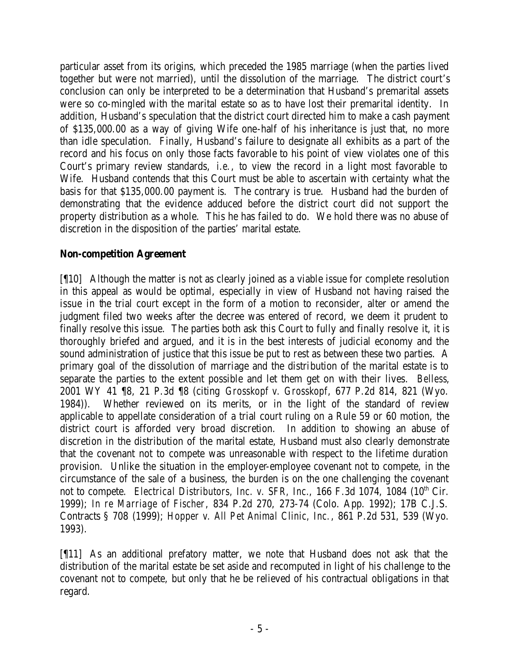particular asset from its origins, which preceded the 1985 marriage (when the parties lived together but were not married), until the dissolution of the marriage. The district court's conclusion can only be interpreted to be a determination that Husband's premarital assets were so co-mingled with the marital estate so as to have lost their premarital identity. In addition, Husband's speculation that the district court directed him to make a cash payment of \$135,000.00 as a way of giving Wife one-half of his inheritance is just that, no more than idle speculation. Finally, Husband's failure to designate all exhibits as a part of the record and his focus on only those facts favorable to his point of view violates one of this Court's primary review standards, *i.e.*, to view the record in a light most favorable to Wife. Husband contends that this Court must be able to ascertain with certainty what the basis for that \$135,000.00 payment is. The contrary is true. Husband had the burden of demonstrating that the evidence adduced before the district court did not support the property distribution as a whole. This he has failed to do. We hold there was no abuse of discretion in the disposition of the parties' marital estate.

# **Non-competition Agreement**

[¶10] Although the matter is not as clearly joined as a viable issue for complete resolution in this appeal as would be optimal, especially in view of Husband not having raised the issue in the trial court except in the form of a motion to reconsider, alter or amend the judgment filed two weeks after the decree was entered of record, we deem it prudent to finally resolve this issue. The parties both ask this Court to fully and finally resolve it, it is thoroughly briefed and argued, and it is in the best interests of judicial economy and the sound administration of justice that this issue be put to rest as between these two parties. A primary goal of the dissolution of marriage and the distribution of the marital estate is to separate the parties to the extent possible and let them get on with their lives. *Belless*, 2001 WY 41 ¶8, 21 P.3d ¶8 (citing *Grosskopf v. Grosskopf*, 677 P.2d 814, 821 (Wyo. 1984)). Whether reviewed on its merits, or in the light of the standard of review applicable to appellate consideration of a trial court ruling on a Rule 59 or 60 motion, the district court is afforded very broad discretion. In addition to showing an abuse of discretion in the distribution of the marital estate, Husband must also clearly demonstrate that the covenant not to compete was unreasonable with respect to the lifetime duration provision. Unlike the situation in the employer-employee covenant not to compete, in the circumstance of the sale of a business, the burden is on the one challenging the covenant not to compete. *Electrical Distributors, Inc. v. SFR, Inc.*, 166 F.3d 1074, 1084 (10<sup>th</sup> Cir. 1999); *In re Marriage of Fischer*, 834 P.2d 270, 273-74 (Colo. App. 1992); 17B C.J.S. Contracts § 708 (1999); *Hopper v. All Pet Animal Clinic, Inc.*, 861 P.2d 531, 539 (Wyo. 1993).

[¶11] As an additional prefatory matter, we note that Husband does not ask that the distribution of the marital estate be set aside and recomputed in light of his challenge to the covenant not to compete, but only that he be relieved of his contractual obligations in that regard.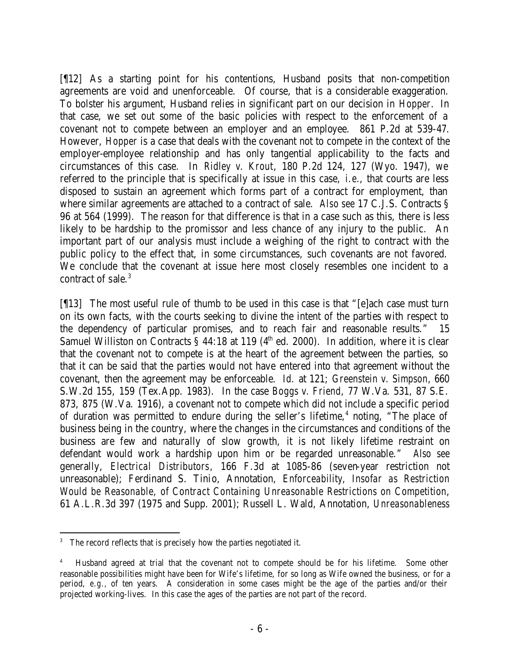[¶12] As a starting point for his contentions, Husband posits that non-competition agreements are void and unenforceable. Of course, that is a considerable exaggeration. To bolster his argument, Husband relies in significant part on our decision in *Hopper*. In that case, we set out some of the basic policies with respect to the enforcement of a covenant not to compete between an employer and an employee. 861 P.2d at 539-47. However, *Hopper* is a case that deals with the covenant not to compete in the context of the employer-employee relationship and has only tangential applicability to the facts and circumstances of this case. In *Ridley v. Krout*, 180 P.2d 124, 127 (Wyo. 1947), we referred to the principle that is specifically at issue in this case, *i.e.*, that courts are less disposed to sustain an agreement which forms part of a contract for employment, than where similar agreements are attached to a contract of sale. *Also see* 17 C.J.S. Contracts § 96 at 564 (1999). The reason for that difference is that in a case such as this, there is less likely to be hardship to the promissor and less chance of any injury to the public. An important part of our analysis must include a weighing of the right to contract with the public policy to the effect that, in some circumstances, such covenants are not favored. We conclude that the covenant at issue here most closely resembles one incident to a contract of sale.<sup>3</sup>

[¶13] The most useful rule of thumb to be used in this case is that "[e]ach case must turn on its own facts, with the courts seeking to divine the intent of the parties with respect to the dependency of particular promises, and to reach fair and reasonable results." 15 Samuel Williston on Contracts  $\hat{S}$  44:18 at 119 (4<sup>th</sup> ed. 2000). In addition, where it is clear that the covenant not to compete is at the heart of the agreement between the parties, so that it can be said that the parties would not have entered into that agreement without the covenant, then the agreement may be enforceable. *Id.* at 121; *Greenstein v. Simpson*, 660 S.W.2d 155, 159 (Tex.App. 1983). In the case *Boggs v. Friend*, 77 W.Va. 531, 87 S.E. 873, 875 (W.Va. 1916), a covenant not to compete which did not include a specific period of duration was permitted to endure during the seller's lifetime,<sup>4</sup> noting, "The place of business being in the country, where the changes in the circumstances and conditions of the business are few and naturally of slow growth, it is not likely lifetime restraint on defendant would work a hardship upon him or be regarded unreasonable." *Also see* generally, *Electrical Distributors*, 166 F.3d at 1085-86 (seven-year restriction not unreasonable); Ferdinand S. Tinio, Annotation, *Enforceability, Insofar as Restriction Would be Reasonable, of Contract Containing Unreasonable Restrictions on Competition*, 61 A.L.R.3d 397 (1975 and Supp. 2001); Russell L. Wald, Annotation, *Unreasonableness* 

<sup>&</sup>lt;sup>3</sup> The record reflects that is precisely how the parties negotiated it.

<sup>4</sup> Husband agreed at trial that the covenant not to compete should be for his lifetime. Some other reasonable possibilities might have been for Wife's lifetime, for so long as Wife owned the business, or for a period, *e.g.,* of ten years. A consideration in some cases might be the age of the parties and/or their projected working-lives. In this case the ages of the parties are not part of the record.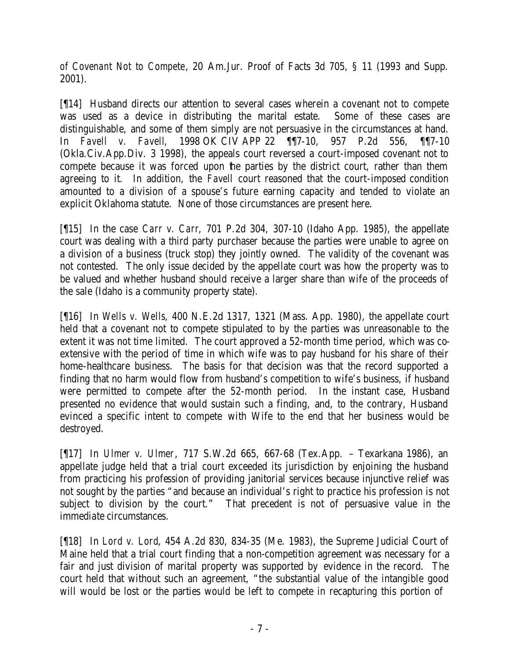*of Covenant Not to Compete*, 20 Am.Jur. Proof of Facts 3d 705, § 11 (1993 and Supp. 2001).

[¶14] Husband directs our attention to several cases wherein a covenant not to compete was used as a device in distributing the marital estate. Some of these cases are distinguishable, and some of them simply are not persuasive in the circumstances at hand. In *Favell v. Favell*, 1998 OK CIV APP 22 ¶¶7-10, 957 P.2d 556, ¶¶7-10 (Okla.Civ.App.Div. 3 1998), the appeals court reversed a court-imposed covenant not to compete because it was forced upon the parties by the district court, rather than them agreeing to it. In addition, the *Favell* court reasoned that the court-imposed condition amounted to a division of a spouse's future earning capacity and tended to violate an explicit Oklahoma statute. None of those circumstances are present here.

[¶15] In the case *Carr v. Carr*, 701 P.2d 304, 307-10 (Idaho App. 1985), the appellate court was dealing with a third party purchaser because the parties were unable to agree on a division of a business (truck stop) they jointly owned. The validity of the covenant was not contested. The only issue decided by the appellate court was how the property was to be valued and whether husband should receive a larger share than wife of the proceeds of the sale (Idaho is a community property state).

[¶16] In *Wells v. Wells*, 400 N.E.2d 1317, 1321 (Mass. App. 1980), the appellate court held that a covenant not to compete stipulated to by the parties was unreasonable to the extent it was not time limited. The court approved a 52-month time period, which was coextensive with the period of time in which wife was to pay husband for his share of their home-healthcare business. The basis for that decision was that the record supported a finding that no harm would flow from husband's competition to wife's business, if husband were permitted to compete after the 52-month period. In the instant case, Husband presented no evidence that would sustain such a finding, and, to the contrary, Husband evinced a specific intent to compete with Wife to the end that her business would be destroyed.

[¶17] In *Ulmer v. Ulmer*, 717 S.W.2d 665, 667-68 (Tex.App. – Texarkana 1986), an appellate judge held that a trial court exceeded its jurisdiction by enjoining the husband from practicing his profession of providing janitorial services because injunctive relief was not sought by the parties "and because an individual's right to practice his profession is not subject to division by the court." That precedent is not of persuasive value in the immediate circumstances.

[¶18] In *Lord v. Lord*, 454 A.2d 830, 834-35 (Me. 1983), the Supreme Judicial Court of Maine held that a trial court finding that a non-competition agreement was necessary for a fair and just division of marital property was supported by evidence in the record. The court held that without such an agreement, "the substantial value of the intangible good will would be lost or the parties would be left to compete in recapturing this portion of